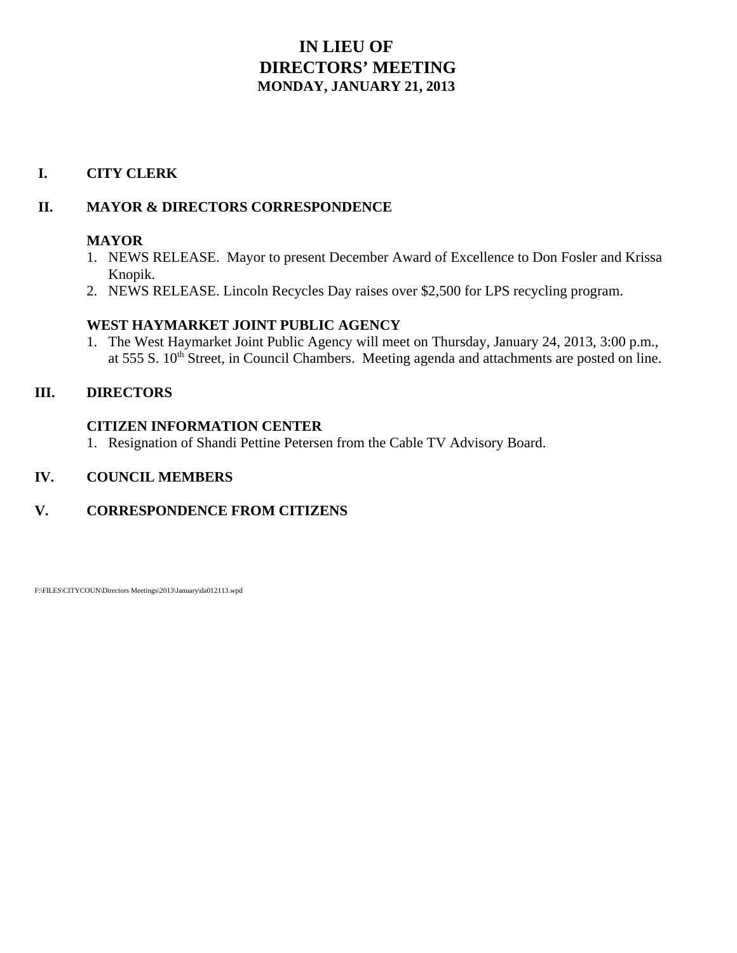# **IN LIEU OF DIRECTORS' MEETING MONDAY, JANUARY 21, 2013**

### **I. CITY CLERK**

### **II. MAYOR & DIRECTORS CORRESPONDENCE**

### **MAYOR**

- 1. NEWS RELEASE. Mayor to present December Award of Excellence to Don Fosler and Krissa Knopik.
- 2. NEWS RELEASE. Lincoln Recycles Day raises over \$2,500 for LPS recycling program.

## **WEST HAYMARKET JOINT PUBLIC AGENCY**

1. The West Haymarket Joint Public Agency will meet on Thursday, January 24, 2013, 3:00 p.m., at  $555 S$ .  $10<sup>th</sup> Street$ , in Council Chambers. Meeting agenda and attachments are posted on line.

## **III. DIRECTORS**

### **CITIZEN INFORMATION CENTER**

1. Resignation of Shandi Pettine Petersen from the Cable TV Advisory Board.

## **IV. COUNCIL MEMBERS**

## **V. CORRESPONDENCE FROM CITIZENS**

F:\FILES\CITYCOUN\Directors Meetings\2013\January\da012113.wpd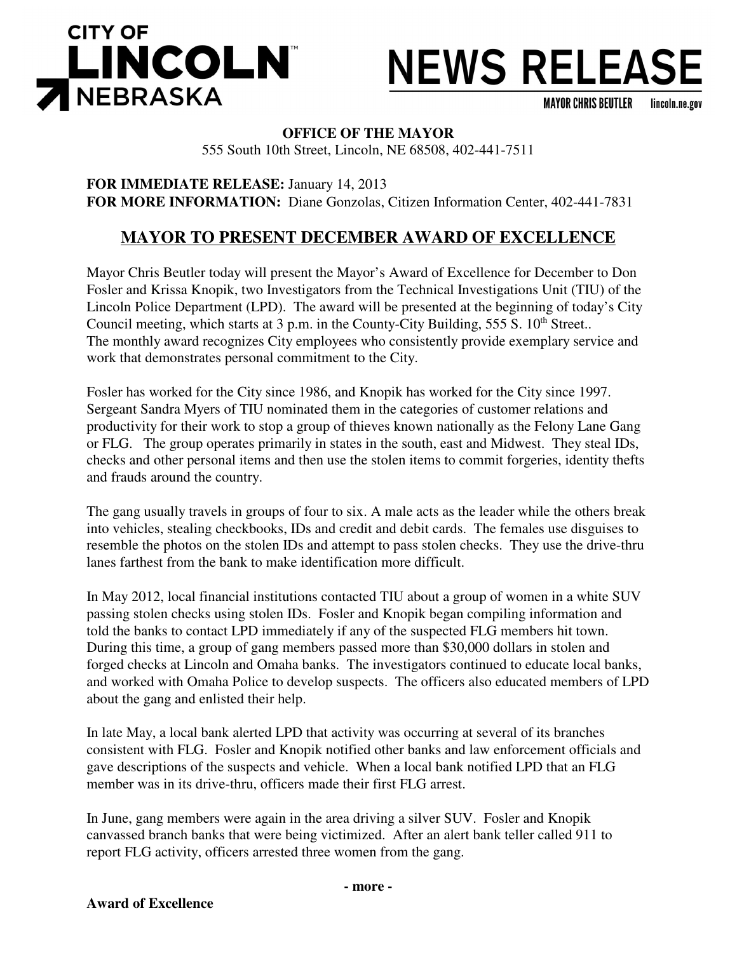

# **NEWS RELEASE**

**MAYOR CHRIS BEUTLER** lincoln.ne.gov

#### **OFFICE OF THE MAYOR**

555 South 10th Street, Lincoln, NE 68508, 402-441-7511

**FOR IMMEDIATE RELEASE:** January 14, 2013 **FOR MORE INFORMATION:** Diane Gonzolas, Citizen Information Center, 402-441-7831

# **MAYOR TO PRESENT DECEMBER AWARD OF EXCELLENCE**

Mayor Chris Beutler today will present the Mayor's Award of Excellence for December to Don Fosler and Krissa Knopik, two Investigators from the Technical Investigations Unit (TIU) of the Lincoln Police Department (LPD). The award will be presented at the beginning of today's City Council meeting, which starts at  $3$  p.m. in the County-City Building,  $555 S$ .  $10<sup>th</sup> Street$ . The monthly award recognizes City employees who consistently provide exemplary service and work that demonstrates personal commitment to the City.

Fosler has worked for the City since 1986, and Knopik has worked for the City since 1997. Sergeant Sandra Myers of TIU nominated them in the categories of customer relations and productivity for their work to stop a group of thieves known nationally as the Felony Lane Gang or FLG. The group operates primarily in states in the south, east and Midwest. They steal IDs, checks and other personal items and then use the stolen items to commit forgeries, identity thefts and frauds around the country.

The gang usually travels in groups of four to six. A male acts as the leader while the others break into vehicles, stealing checkbooks, IDs and credit and debit cards. The females use disguises to resemble the photos on the stolen IDs and attempt to pass stolen checks. They use the drive-thru lanes farthest from the bank to make identification more difficult.

In May 2012, local financial institutions contacted TIU about a group of women in a white SUV passing stolen checks using stolen IDs. Fosler and Knopik began compiling information and told the banks to contact LPD immediately if any of the suspected FLG members hit town. During this time, a group of gang members passed more than \$30,000 dollars in stolen and forged checks at Lincoln and Omaha banks. The investigators continued to educate local banks, and worked with Omaha Police to develop suspects. The officers also educated members of LPD about the gang and enlisted their help.

In late May, a local bank alerted LPD that activity was occurring at several of its branches consistent with FLG. Fosler and Knopik notified other banks and law enforcement officials and gave descriptions of the suspects and vehicle. When a local bank notified LPD that an FLG member was in its drive-thru, officers made their first FLG arrest.

In June, gang members were again in the area driving a silver SUV. Fosler and Knopik canvassed branch banks that were being victimized. After an alert bank teller called 911 to report FLG activity, officers arrested three women from the gang.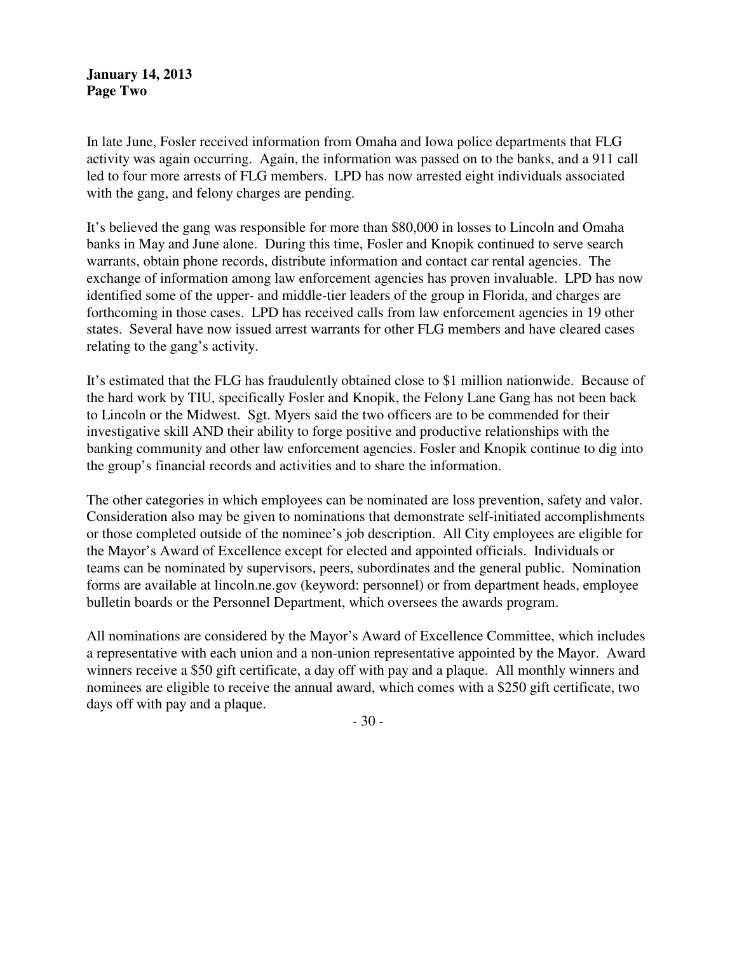**January 14, 2013 Page Two**

In late June, Fosler received information from Omaha and Iowa police departments that FLG activity was again occurring. Again, the information was passed on to the banks, and a 911 call led to four more arrests of FLG members. LPD has now arrested eight individuals associated with the gang, and felony charges are pending.

It's believed the gang was responsible for more than \$80,000 in losses to Lincoln and Omaha banks in May and June alone. During this time, Fosler and Knopik continued to serve search warrants, obtain phone records, distribute information and contact car rental agencies. The exchange of information among law enforcement agencies has proven invaluable. LPD has now identified some of the upper- and middle-tier leaders of the group in Florida, and charges are forthcoming in those cases. LPD has received calls from law enforcement agencies in 19 other states. Several have now issued arrest warrants for other FLG members and have cleared cases relating to the gang's activity.

It's estimated that the FLG has fraudulently obtained close to \$1 million nationwide. Because of the hard work by TIU, specifically Fosler and Knopik, the Felony Lane Gang has not been back to Lincoln or the Midwest. Sgt. Myers said the two officers are to be commended for their investigative skill AND their ability to forge positive and productive relationships with the banking community and other law enforcement agencies. Fosler and Knopik continue to dig into the group's financial records and activities and to share the information.

The other categories in which employees can be nominated are loss prevention, safety and valor. Consideration also may be given to nominations that demonstrate self-initiated accomplishments or those completed outside of the nominee's job description. All City employees are eligible for the Mayor's Award of Excellence except for elected and appointed officials. Individuals or teams can be nominated by supervisors, peers, subordinates and the general public. Nomination forms are available at lincoln.ne.gov (keyword: personnel) or from department heads, employee bulletin boards or the Personnel Department, which oversees the awards program.

All nominations are considered by the Mayor's Award of Excellence Committee, which includes a representative with each union and a non-union representative appointed by the Mayor. Award winners receive a \$50 gift certificate, a day off with pay and a plaque. All monthly winners and nominees are eligible to receive the annual award, which comes with a \$250 gift certificate, two days off with pay and a plaque.

- 30 -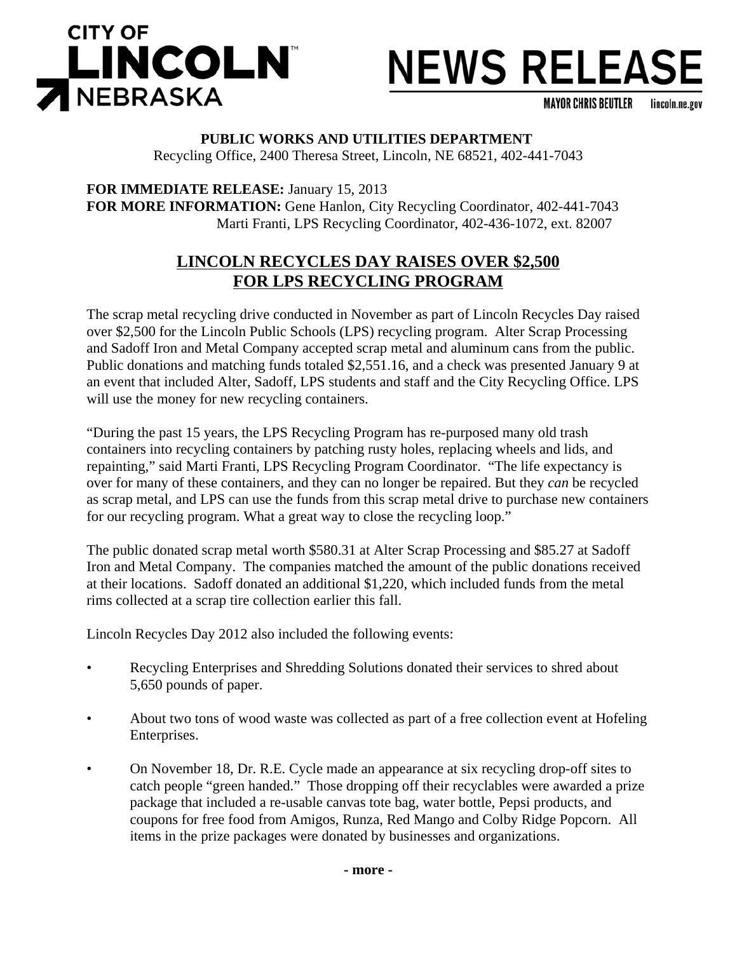

# **NEWS RELEASE**

**MAYOR CHRIS BEUTLER** lincoln.ne.gov

#### **PUBLIC WORKS AND UTILITIES DEPARTMENT**

Recycling Office, 2400 Theresa Street, Lincoln, NE 68521, 402-441-7043

**FOR IMMEDIATE RELEASE:** January 15, 2013 **FOR MORE INFORMATION:** Gene Hanlon, City Recycling Coordinator, 402-441-7043 Marti Franti, LPS Recycling Coordinator, 402-436-1072, ext. 82007

## **LINCOLN RECYCLES DAY RAISES OVER \$2,500 FOR LPS RECYCLING PROGRAM**

The scrap metal recycling drive conducted in November as part of Lincoln Recycles Day raised over \$2,500 for the Lincoln Public Schools (LPS) recycling program. Alter Scrap Processing and Sadoff Iron and Metal Company accepted scrap metal and aluminum cans from the public. Public donations and matching funds totaled \$2,551.16, and a check was presented January 9 at an event that included Alter, Sadoff, LPS students and staff and the City Recycling Office. LPS will use the money for new recycling containers.

"During the past 15 years, the LPS Recycling Program has re-purposed many old trash containers into recycling containers by patching rusty holes, replacing wheels and lids, and repainting," said Marti Franti, LPS Recycling Program Coordinator. "The life expectancy is over for many of these containers, and they can no longer be repaired. But they *can* be recycled as scrap metal, and LPS can use the funds from this scrap metal drive to purchase new containers for our recycling program. What a great way to close the recycling loop."

The public donated scrap metal worth \$580.31 at Alter Scrap Processing and \$85.27 at Sadoff Iron and Metal Company. The companies matched the amount of the public donations received at their locations. Sadoff donated an additional \$1,220, which included funds from the metal rims collected at a scrap tire collection earlier this fall.

Lincoln Recycles Day 2012 also included the following events:

- Recycling Enterprises and Shredding Solutions donated their services to shred about 5,650 pounds of paper.
- About two tons of wood waste was collected as part of a free collection event at Hofeling Enterprises.
- On November 18, Dr. R.E. Cycle made an appearance at six recycling drop-off sites to catch people "green handed." Those dropping off their recyclables were awarded a prize package that included a re-usable canvas tote bag, water bottle, Pepsi products, and coupons for free food from Amigos, Runza, Red Mango and Colby Ridge Popcorn. All items in the prize packages were donated by businesses and organizations.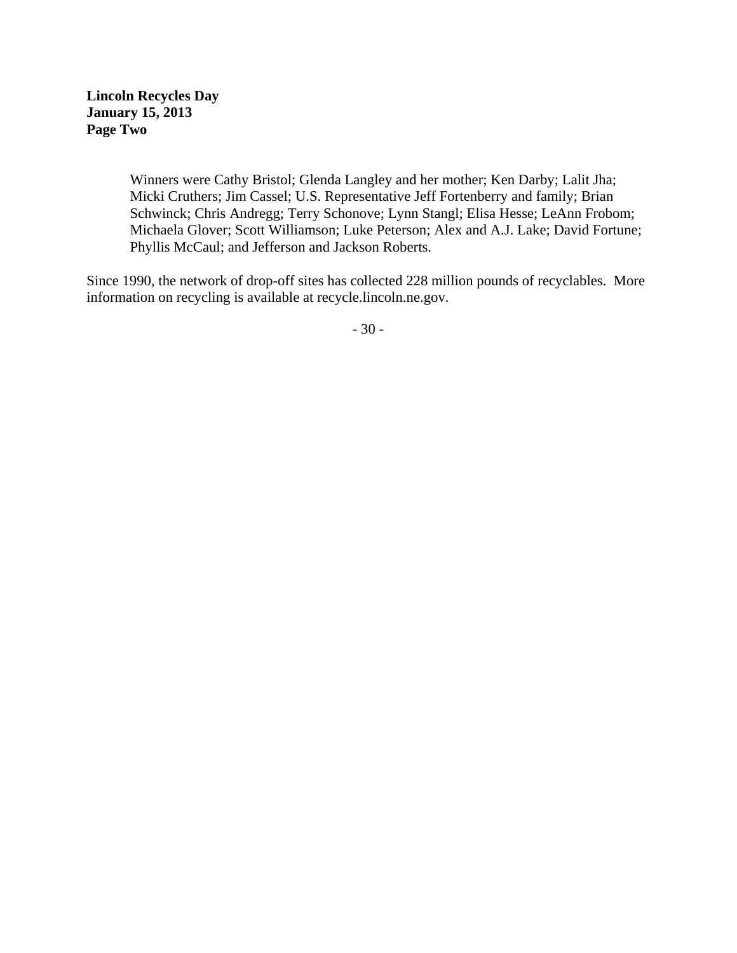**Lincoln Recycles Day January 15, 2013 Page Two**

> Winners were Cathy Bristol; Glenda Langley and her mother; Ken Darby; Lalit Jha; Micki Cruthers; Jim Cassel; U.S. Representative Jeff Fortenberry and family; Brian Schwinck; Chris Andregg; Terry Schonove; Lynn Stangl; Elisa Hesse; LeAnn Frobom; Michaela Glover; Scott Williamson; Luke Peterson; Alex and A.J. Lake; David Fortune; Phyllis McCaul; and Jefferson and Jackson Roberts.

Since 1990, the network of drop-off sites has collected 228 million pounds of recyclables. More information on recycling is available at recycle.lincoln.ne.gov.

- 30 -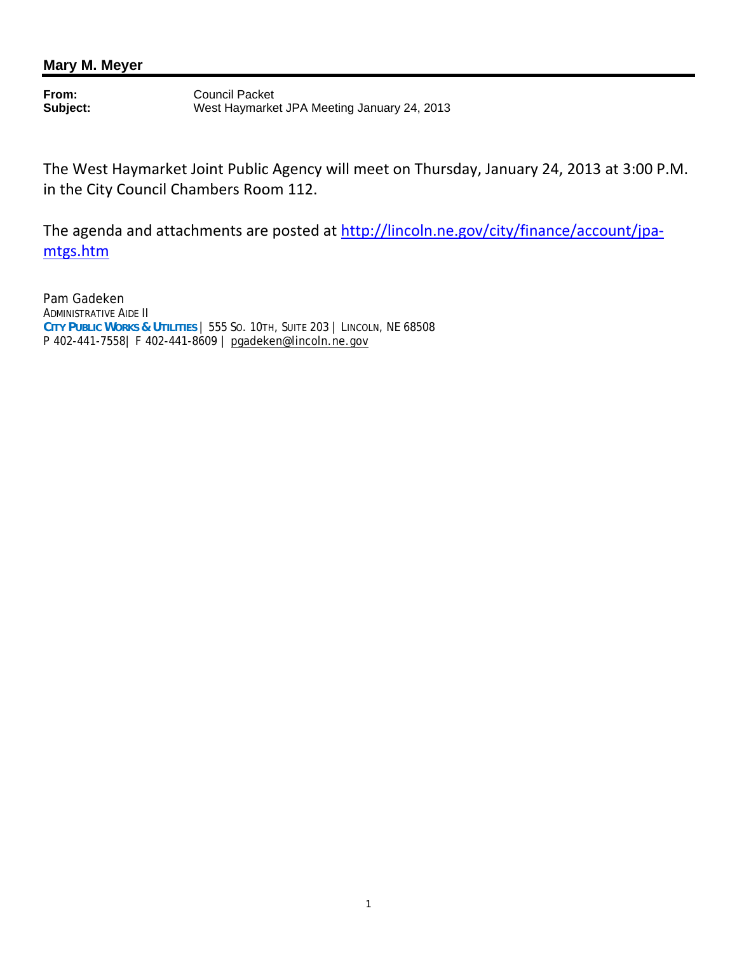## **Mary M. Meyer**

**From:** Council Packet<br> **Subject:** West Haymarke **Subject:** West Haymarket JPA Meeting January 24, 2013

The West Haymarket Joint Public Agency will meet on Thursday, January 24, 2013 at 3:00 P.M. in the City Council Chambers Room 112.

The agenda and attachments are posted at http://lincoln.ne.gov/city/finance/account/jpamtgs.htm

Pam Gadeken ADMINISTRATIVE AIDE II **CITY PUBLIC WORKS & UTILITIES** | 555 SO. 10TH, SUITE 203 | LINCOLN, NE 68508 P 402-441-7558| F 402-441-8609 | pgadeken@lincoln.ne.gov